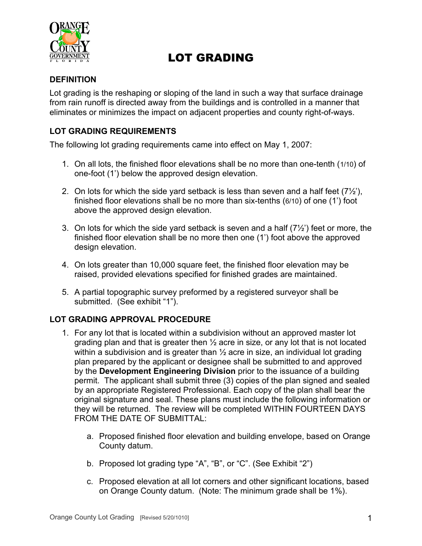

# LOT GRADING

### **DEFINITION**

Lot grading is the reshaping or sloping of the land in such a way that surface drainage from rain runoff is directed away from the buildings and is controlled in a manner that eliminates or minimizes the impact on adjacent properties and county right-of-ways.

### **LOT GRADING REQUIREMENTS**

The following lot grading requirements came into effect on May 1, 2007:

- 1. On all lots, the finished floor elevations shall be no more than one-tenth (1/10) of one-foot (1') below the approved design elevation.
- 2. On lots for which the side yard setback is less than seven and a half feet  $(7\frac{1}{2})$ , finished floor elevations shall be no more than six-tenths (6/10) of one (1') foot above the approved design elevation.
- 3. On lots for which the side yard setback is seven and a half  $(7\frac{1}{2})$  feet or more, the finished floor elevation shall be no more then one (1') foot above the approved design elevation.
- 4. On lots greater than 10,000 square feet, the finished floor elevation may be raised, provided elevations specified for finished grades are maintained.
- 5. A partial topographic survey preformed by a registered surveyor shall be submitted. (See exhibit "1").

### **LOT GRADING APPROVAL PROCEDURE**

- 1. For any lot that is located within a subdivision without an approved master lot grading plan and that is greater then  $\frac{1}{2}$  acre in size, or any lot that is not located within a subdivision and is greater than  $\frac{1}{2}$  acre in size, an individual lot grading plan prepared by the applicant or designee shall be submitted to and approved by the **Development Engineering Division** prior to the issuance of a building permit. The applicant shall submit three (3) copies of the plan signed and sealed by an appropriate Registered Professional. Each copy of the plan shall bear the original signature and seal. These plans must include the following information or they will be returned. The review will be completed WITHIN FOURTEEN DAYS FROM THE DATE OF SUBMITTAL:
	- a. Proposed finished floor elevation and building envelope, based on Orange County datum.
	- b. Proposed lot grading type "A", "B", or "C". (See Exhibit "2")
	- c. Proposed elevation at all lot corners and other significant locations, based on Orange County datum. (Note: The minimum grade shall be 1%).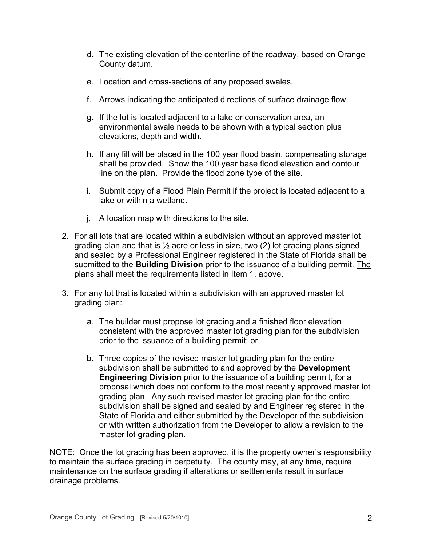- d. The existing elevation of the centerline of the roadway, based on Orange County datum.
- e. Location and cross-sections of any proposed swales.
- f. Arrows indicating the anticipated directions of surface drainage flow.
- g. If the lot is located adjacent to a lake or conservation area, an environmental swale needs to be shown with a typical section plus elevations, depth and width.
- h. If any fill will be placed in the 100 year flood basin, compensating storage shall be provided. Show the 100 year base flood elevation and contour line on the plan. Provide the flood zone type of the site.
- i. Submit copy of a Flood Plain Permit if the project is located adjacent to a lake or within a wetland.
- j. A location map with directions to the site.
- 2. For all lots that are located within a subdivision without an approved master lot grading plan and that is  $\frac{1}{2}$  acre or less in size, two (2) lot grading plans signed and sealed by a Professional Engineer registered in the State of Florida shall be submitted to the **Building Division** prior to the issuance of a building permit. The plans shall meet the requirements listed in Item 1, above.
- 3. For any lot that is located within a subdivision with an approved master lot grading plan:
	- a. The builder must propose lot grading and a finished floor elevation consistent with the approved master lot grading plan for the subdivision prior to the issuance of a building permit; or
	- b. Three copies of the revised master lot grading plan for the entire subdivision shall be submitted to and approved by the **Development Engineering Division** prior to the issuance of a building permit, for a proposal which does not conform to the most recently approved master lot grading plan. Any such revised master lot grading plan for the entire subdivision shall be signed and sealed by and Engineer registered in the State of Florida and either submitted by the Developer of the subdivision or with written authorization from the Developer to allow a revision to the master lot grading plan.

NOTE: Once the lot grading has been approved, it is the property owner's responsibility to maintain the surface grading in perpetuity. The county may, at any time, require maintenance on the surface grading if alterations or settlements result in surface drainage problems.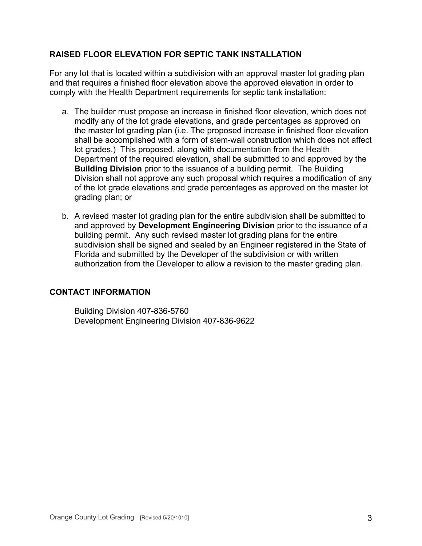### **RAISED FLOOR ELEVATION FOR SEPTIC TANK INSTALLATION**

For any lot that is located within a subdivision with an approval master lot grading plan and that requires a finished floor elevation above the approved elevation in order to comply with the Health Department requirements for septic tank installation:

- a. The builder must propose an increase in finished floor elevation, which does not modify any of the lot grade elevations, and grade percentages as approved on the master lot grading plan (i.e. The proposed increase in finished floor elevation shall be accomplished with a form of stem-wall construction which does not affect lot grades.) This proposed, along with documentation from the Health Department of the required elevation, shall be submitted to and approved by the **Building Division** prior to the issuance of a building permit. The Building Division shall not approve any such proposal which requires a modification of any of the lot grade elevations and grade percentages as approved on the master lot grading plan; or
- b. A revised master lot grading plan for the entire subdivision shall be submitted to and approved by **Development Engineering Division** prior to the issuance of a building permit. Any such revised master lot grading plans for the entire subdivision shall be signed and sealed by an Engineer registered in the State of Florida and submitted by the Developer of the subdivision or with written authorization from the Developer to allow a revision to the master grading plan.

### **CONTACT INFORMATION**

Building Division 407-836-5760 Development Engineering Division 407-836-9622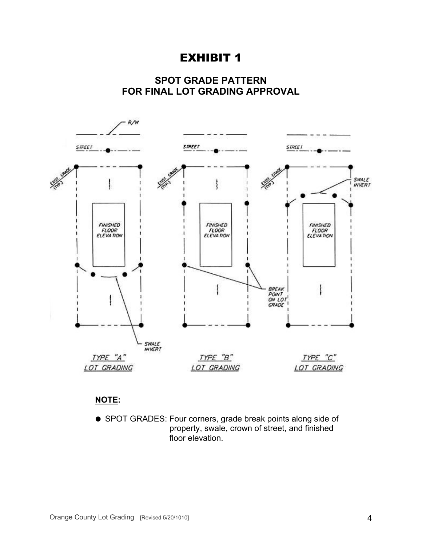## EXHIBIT 1





### **NOTE:**

 SPOT GRADES: Four corners, grade break points along side of property, swale, crown of street, and finished floor elevation.